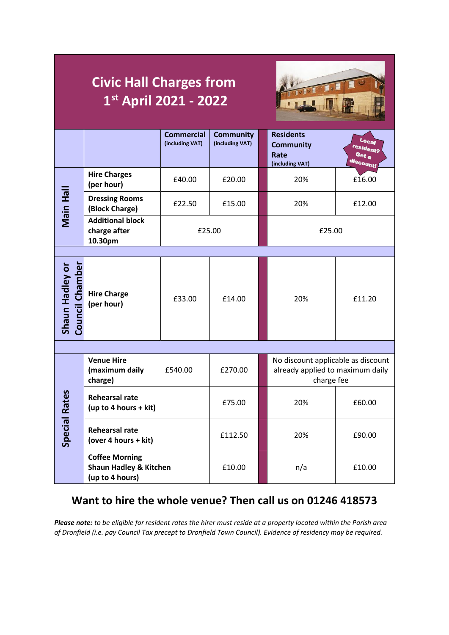|                                    | <b>Civic Hall Charges from</b><br>1st April 2021 - 2022                       |                                      |                                     |  |                                                                                      |                                          |  |
|------------------------------------|-------------------------------------------------------------------------------|--------------------------------------|-------------------------------------|--|--------------------------------------------------------------------------------------|------------------------------------------|--|
|                                    |                                                                               | <b>Commercial</b><br>(including VAT) | <b>Community</b><br>(including VAT) |  | <b>Residents</b><br><b>Community</b><br>Rate<br>(including VAT)                      | Local<br>resident?<br>Get a<br>discount! |  |
| Main Hall                          | <b>Hire Charges</b><br>(per hour)                                             | £40.00                               | £20.00                              |  | 20%                                                                                  | £16.00                                   |  |
|                                    | <b>Dressing Rooms</b><br>(Block Charge)                                       | £22.50                               | £15.00                              |  | 20%                                                                                  | £12.00                                   |  |
|                                    | <b>Additional block</b><br>charge after<br>10.30pm                            | £25.00                               |                                     |  | £25.00                                                                               |                                          |  |
|                                    |                                                                               |                                      |                                     |  |                                                                                      |                                          |  |
| Council Chamber<br>Shaun Hadley or | <b>Hire Charge</b><br>(per hour)                                              | £33.00                               | £14.00                              |  | 20%                                                                                  | £11.20                                   |  |
|                                    |                                                                               |                                      |                                     |  |                                                                                      |                                          |  |
|                                    | <b>Venue Hire</b><br>(maximum daily<br>charge)                                | £540.00                              | £270.00                             |  | No discount applicable as discount<br>already applied to maximum daily<br>charge fee |                                          |  |
| ပ္ၿ<br><b>Special Ra</b>           | <b>Rehearsal rate</b><br>(up to 4 hours + kit)                                |                                      | £75.00                              |  | 20%                                                                                  | £60.00                                   |  |
|                                    | <b>Rehearsal rate</b><br>(over 4 hours + kit)                                 |                                      | £112.50                             |  | 20%                                                                                  | £90.00                                   |  |
|                                    | <b>Coffee Morning</b><br><b>Shaun Hadley &amp; Kitchen</b><br>(up to 4 hours) |                                      | £10.00                              |  | n/a                                                                                  | £10.00                                   |  |

## **Want to hire the whole venue? Then call us on 01246 418573**

*Please note: to be eligible for resident rates the hirer must reside at a property located within the Parish area of Dronfield (i.e. pay Council Tax precept to Dronfield Town Council). Evidence of residency may be required.*